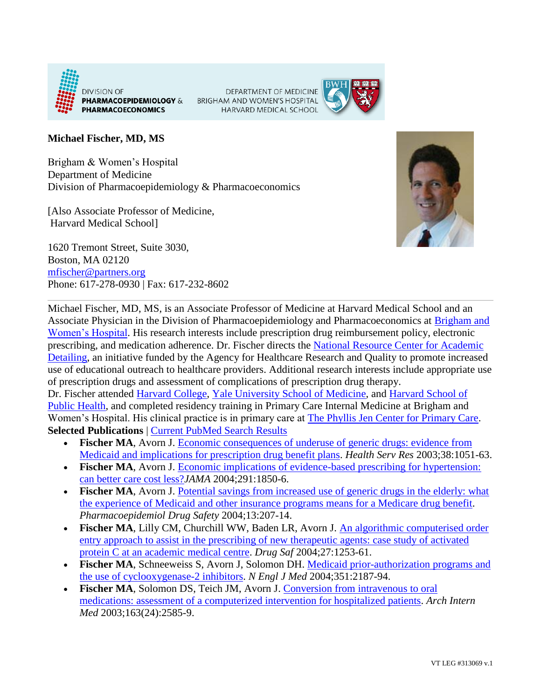

DEPARTMENT OF MEDICINE BRIGHAM AND WOMEN'S HOSPITAL HARVARD MEDICAL SCHOOL



## **Michael Fischer, MD, MS**

Brigham & Women's Hospital Department of Medicine Division of Pharmacoepidemiology & Pharmacoeconomics

[Also Associate Professor of Medicine, Harvard Medical School]

1620 Tremont Street, Suite 3030, Boston, MA 02120 [mfischer@partners.org](mailto:mfischer@partners.org) Phone: 617-278-0930 | Fax: 617-232-8602



Michael Fischer, MD, MS, is an Associate Professor of Medicine at Harvard Medical School and an Associate Physician in the Division of Pharmacoepidemiology and Pharmacoeconomics at [Brigham and](http://www.brighamandwomens.org/)  [Women's Hospital.](http://www.brighamandwomens.org/) His research interests include prescription drug reimbursement policy, electronic prescribing, and medication adherence. Dr. Fischer directs the [National Resource Center for Academic](http://www.narcad.org/)  [Detailing,](http://www.narcad.org/) an initiative funded by the Agency for Healthcare Research and Quality to promote increased use of educational outreach to healthcare providers. Additional research interests include appropriate use of prescription drugs and assessment of complications of prescription drug therapy. Dr. Fischer attended [Harvard College,](http://www.college.harvard.edu/icb/icb.do) [Yale University School of Medicine,](http://medicine.yale.edu/index.aspx) and [Harvard School of](http://www.hsph.harvard.edu/)  [Public Health,](http://www.hsph.harvard.edu/) and completed residency training in Primary Care Internal Medicine at Brigham and Women's Hospital. His clinical practice is in primary care at [The Phyllis Jen Center for Primary Care.](http://www.brighamandwomens.org/Departments_and_Services/medicine/services/primarycare/offices/bima.aspx)

**Selected Publications** | [Current PubMed Search Results](http://www.ncbi.nlm.nih.gov/pubmed?term=%28Fischer%20MA%5bAuthor%5d%29%20AND%20Brigham%5bAffiliation%5d)

- **Fischer MA**, Avorn J. [Economic consequences of underuse of generic drugs: evidence from](http://www.ncbi.nlm.nih.gov/entrez/query.fcgi?cmd=retrieve&db=pubmed&list_uids=12968816&dopt=abstract)  [Medicaid and implications for prescription drug benefit plans.](http://www.ncbi.nlm.nih.gov/entrez/query.fcgi?cmd=retrieve&db=pubmed&list_uids=12968816&dopt=abstract) *Health Serv Res* 2003;38:1051-63.
- **Fischer MA**, Avorn J. [Economic implications of evidence-based prescribing for hypertension:](http://www.ncbi.nlm.nih.gov/entrez/query.fcgi?cmd=retrieve&db=pubmed&list_uids=15100203&dopt=abstract)  [can better care cost less?](http://www.ncbi.nlm.nih.gov/entrez/query.fcgi?cmd=retrieve&db=pubmed&list_uids=15100203&dopt=abstract)*JAMA* 2004;291:1850-6.
- Fischer MA, Avorn J. Potential savings from increased use of generic drugs in the elderly: what [the experience of Medicaid and other insurance programs means for a Medicare drug benefit.](http://www.ncbi.nlm.nih.gov/entrez/query.fcgi?cmd=retrieve&db=pubmed&list_uids=15255087&dopt=abstract) *Pharmacoepidemiol Drug Safety* 2004;13:207-14.
- Fischer MA, Lilly CM, Churchill WW, Baden LR, Avorn J. An algorithmic computerised order [entry approach to assist in the prescribing of new therapeutic agents: case study of activated](http://www.ncbi.nlm.nih.gov/entrez/query.fcgi?cmd=retrieve&db=pubmed&list_uids=15588120&dopt=abstract)  [protein C at an academic medical centre.](http://www.ncbi.nlm.nih.gov/entrez/query.fcgi?cmd=retrieve&db=pubmed&list_uids=15588120&dopt=abstract) *Drug Saf* 2004;27:1253-61.
- **Fischer MA**, Schneeweiss S, Avorn J, Solomon DH. [Medicaid prior-authorization programs and](http://www.ncbi.nlm.nih.gov/entrez/query.fcgi?cmd=retrieve&db=pubmed&list_uids=15548779&dopt=abstract)  [the use of cyclooxygenase-2 inhibitors.](http://www.ncbi.nlm.nih.gov/entrez/query.fcgi?cmd=retrieve&db=pubmed&list_uids=15548779&dopt=abstract) *N Engl J Med* 2004;351:2187-94.
- **Fischer MA**, Solomon DS, Teich JM, Avorn J. [Conversion from intravenous to oral](http://www.ncbi.nlm.nih.gov/entrez/query.fcgi?cmd=retrieve&db=pubmed&list_uids=14638558&dopt=abstract)  [medications: assessment of a computerized intervention for hospitalized patients.](http://www.ncbi.nlm.nih.gov/entrez/query.fcgi?cmd=retrieve&db=pubmed&list_uids=14638558&dopt=abstract) *Arch Intern Med* 2003;163(24):2585-9.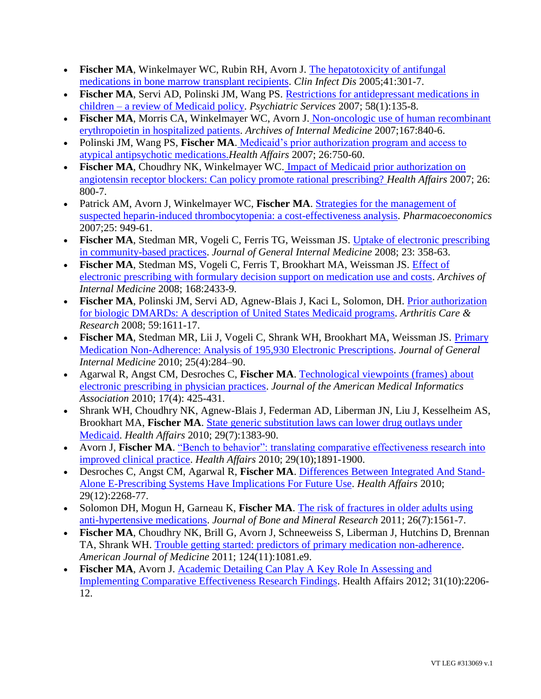- **Fischer MA**, Winkelmayer WC, Rubin RH, Avorn J. [The hepatotoxicity of antifungal](http://www.ncbi.nlm.nih.gov/entrez/query.fcgi?cmd=retrieve&db=pubmed&list_uids=16007524&dopt=abstract)  [medications in bone marrow transplant recipients.](http://www.ncbi.nlm.nih.gov/entrez/query.fcgi?cmd=retrieve&db=pubmed&list_uids=16007524&dopt=abstract) *Clin Infect Dis* 2005;41:301-7.
- **Fischer MA**, Servi AD, Polinski JM, Wang PS. [Restrictions for antidepressant medications in](http://www.ncbi.nlm.nih.gov/pubmed/17215425?ordinalpos=12&itool=EntrezSystem2.PEntrez.Pubmed.Pubmed_ResultsPanel.Pubmed_RVDocSum)  children – [a review of Medicaid policy.](http://www.ncbi.nlm.nih.gov/pubmed/17215425?ordinalpos=12&itool=EntrezSystem2.PEntrez.Pubmed.Pubmed_ResultsPanel.Pubmed_RVDocSum) *Psychiatric Services* 2007; 58(1):135-8.
- **Fischer MA**, Morris CA, Winkelmayer WC, Avorn J. [Non-oncologic use of human recombinant](http://www.ncbi.nlm.nih.gov/pubmed/17452549?ordinalpos=10&itool=EntrezSystem2.PEntrez.Pubmed.Pubmed_ResultsPanel.Pubmed_RVDocSum)  [erythropoietin in hospitalized patients.](http://www.ncbi.nlm.nih.gov/pubmed/17452549?ordinalpos=10&itool=EntrezSystem2.PEntrez.Pubmed.Pubmed_ResultsPanel.Pubmed_RVDocSum) *Archives of Internal Medicine* 2007;167:840-6.
- Polinski JM, Wang PS, **Fischer MA**. [Medicaid's prior authorization program and access to](http://www.ncbi.nlm.nih.gov/pubmed/17485754?ordinalpos=1&itool=EntrezSystem2.PEntrez.Pubmed.Pubmed_ResultsPanel.Pubmed_RVDocSum)  [atypical antipsychotic medications.](http://www.ncbi.nlm.nih.gov/pubmed/17485754?ordinalpos=1&itool=EntrezSystem2.PEntrez.Pubmed.Pubmed_ResultsPanel.Pubmed_RVDocSum)*Health Affairs* 2007; 26:750-60.
- **Fischer MA**, Choudhry NK, Winkelmayer WC. [Impact of Medicaid prior authorization on](http://www.ncbi.nlm.nih.gov/pubmed/17485759?ordinalpos=8&itool=EntrezSystem2.PEntrez.Pubmed.Pubmed_ResultsPanel.Pubmed_RVDocSum)  [angiotensin receptor blockers: Can policy promote rational prescribing?](http://www.ncbi.nlm.nih.gov/pubmed/17485759?ordinalpos=8&itool=EntrezSystem2.PEntrez.Pubmed.Pubmed_ResultsPanel.Pubmed_RVDocSum) *Health Affairs* 2007; 26: 800-7.
- Patrick AM, Avorn J, Winkelmayer WC, **Fischer MA**. [Strategies for the management of](http://www.ncbi.nlm.nih.gov/pubmed/17960953?ordinalpos=2&itool=EntrezSystem2.PEntrez.Pubmed.Pubmed_ResultsPanel.Pubmed_RVDocSum)  [suspected heparin-induced thrombocytopenia: a cost-effectiveness analysis.](http://www.ncbi.nlm.nih.gov/pubmed/17960953?ordinalpos=2&itool=EntrezSystem2.PEntrez.Pubmed.Pubmed_ResultsPanel.Pubmed_RVDocSum) *Pharmacoeconomics* 2007;25: 949-61.
- **Fischer MA**, Stedman MR, Vogeli C, Ferris TG, Weissman JS. [Uptake of electronic prescribing](http://www.ncbi.nlm.nih.gov/pubmed?term=Fischer%20MA%20uptake%20community%20based)  [in community-based practices.](http://www.ncbi.nlm.nih.gov/pubmed?term=Fischer%20MA%20uptake%20community%20based) *Journal of General Internal Medicine* 2008; 23: 358-63.
- **Fischer MA**, Stedman MS, Vogeli C, Ferris T, Brookhart MA, Weissman JS. [Effect of](http://www.ncbi.nlm.nih.gov/pubmed/19064827)  [electronic prescribing with formulary decision support on medication use and costs.](http://www.ncbi.nlm.nih.gov/pubmed/19064827) *Archives of Internal Medicine* 2008; 168:2433-9.
- **Fischer MA**, Polinski JM, Servi AD, Agnew-Blais J, Kaci L, Solomon, DH. [Prior authorization](http://www.ncbi.nlm.nih.gov/pubmed/18975371)  [for biologic DMARDs: A description of United States Medicaid programs.](http://www.ncbi.nlm.nih.gov/pubmed/18975371) *Arthritis Care & Research* 2008; 59:1611-17.
- **Fischer MA**, Stedman MR, Lii J, Vogeli C, Shrank WH, Brookhart MA, Weissman JS. [Primary](http://www.ncbi.nlm.nih.gov/pubmed/20131023)  [Medication Non-Adherence: Analysis of 195,930 Electronic Prescriptions.](http://www.ncbi.nlm.nih.gov/pubmed/20131023) *Journal of General Internal Medicine* 2010; 25(4):284–90.
- Agarwal R, Angst CM, Desroches C, **Fischer MA**. [Technological viewpoints \(frames\) about](http://www.ncbi.nlm.nih.gov/pubmed/20595310)  [electronic prescribing in physician practices.](http://www.ncbi.nlm.nih.gov/pubmed/20595310) *Journal of the American Medical Informatics Association* 2010; 17(4): 425-431.
- Shrank WH, Choudhry NK, Agnew-Blais J, Federman AD, Liberman JN, Liu J, Kesselheim AS, Brookhart MA, **Fischer MA**. [State generic substitution laws can lower drug outlays under](http://www.ncbi.nlm.nih.gov/pubmed/20606192)  [Medicaid.](http://www.ncbi.nlm.nih.gov/pubmed/20606192) *Health Affairs* 2010; 29(7):1383-90.
- Avorn J, **Fischer MA**. ["Bench to behavior": translating comparative effectiveness research into](http://www.ncbi.nlm.nih.gov/pubmed/20921491)  [improved clinical practice.](http://www.ncbi.nlm.nih.gov/pubmed/20921491) *Health Affairs* 2010; 29(10);1891-1900.
- Desroches C, Angst CM, Agarwal R, **Fischer MA**. [Differences Between Integrated And Stand-](http://www.ncbi.nlm.nih.gov/pubmed/21134929)[Alone E-Prescribing Systems Have Implications For Future Use.](http://www.ncbi.nlm.nih.gov/pubmed/21134929) *Health Affairs* 2010; 29(12):2268-77.
- Solomon DH, Mogun H, Garneau K, **Fischer MA**. [The risk of fractures in older adults using](http://www.ncbi.nlm.nih.gov/pubmed/21312268)  [anti-hypertensive medications.](http://www.ncbi.nlm.nih.gov/pubmed/21312268) *Journal of Bone and Mineral Research* 2011; 26(7):1561-7.
- **Fischer MA**, Choudhry NK, Brill G, Avorn J, Schneeweiss S, Liberman J, Hutchins D, Brennan TA, Shrank WH. [Trouble getting started: predictors of primary medication non-adherence.](http://www.ncbi.nlm.nih.gov/pubmed/22017787) *American Journal of Medicine* 2011; 124(11):1081.e9.
- Fischer MA, Avorn J. Academic Detailing Can Play A Key Role In Assessing and [Implementing Comparative Effectiveness Research Findings.](http://www.ncbi.nlm.nih.gov/pubmed?term=Academic%20Detailing%20Can%20Play%20A%20Key%20Role%20In%20Assessing%20and%20Implementing%20Comparative%20Effectiveness%20Research%20Findings) Health Affairs 2012; 31(10):2206- 12.